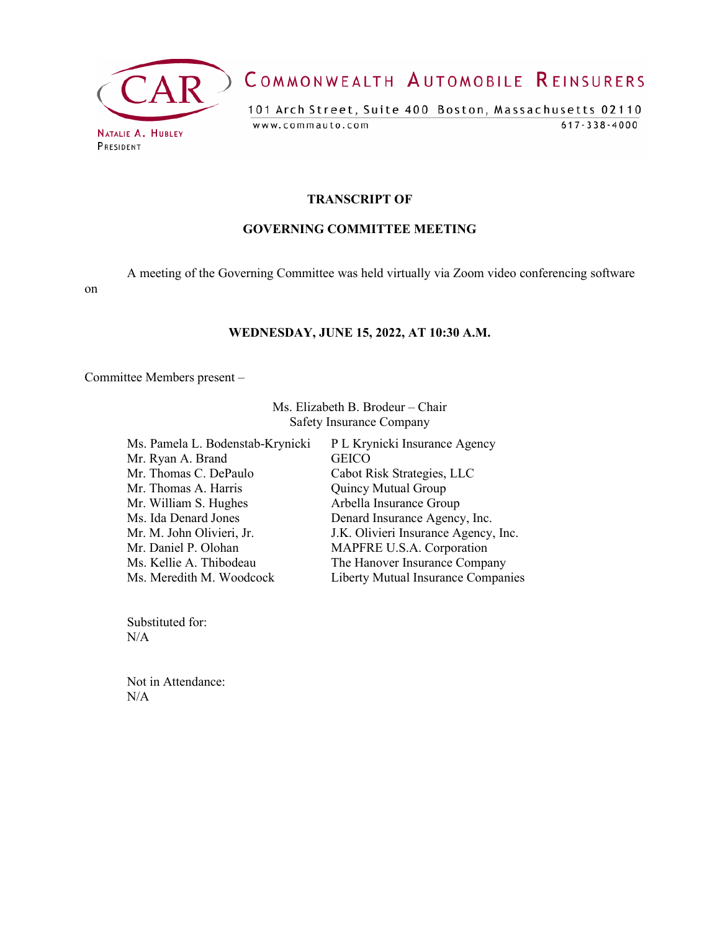

# COMMONWEALTH AUTOMOBILE REINSURERS

101 Arch Street, Suite 400 Boston, Massachusetts 02110 www.commauto.com  $617 - 338 - 4000$ 

#### **TRANSCRIPT OF**

### **GOVERNING COMMITTEE MEETING**

A meeting of the Governing Committee was held virtually via Zoom video conferencing software on

#### **WEDNESDAY, JUNE 15, 2022, AT 10:30 A.M.**

Committee Members present –

Ms. Elizabeth B. Brodeur – Chair Safety Insurance Company

Ms. Pamela L. Bodenstab-Krynicki P L Krynicki Insurance Agency Mr. Ryan A. Brand GEICO Mr. Thomas C. DePaulo Cabot Risk Strategies, LLC Mr. Thomas A. Harris Quincy Mutual Group Mr. William S. Hughes Arbella Insurance Group Ms. Ida Denard Jones Denard Insurance Agency, Inc.<br>
Mr. M. John Olivieri. Jr. J.K. Olivieri Insurance Agency. J.K. Olivieri Insurance Agency, Inc. Mr. Daniel P. Olohan MAPFRE U.S.A. Corporation Ms. Kellie A. Thibodeau The Hanover Insurance Company Ms. Meredith M. Woodcock Liberty Mutual Insurance Companies

Substituted for:  $N/A$ 

Not in Attendance: N/A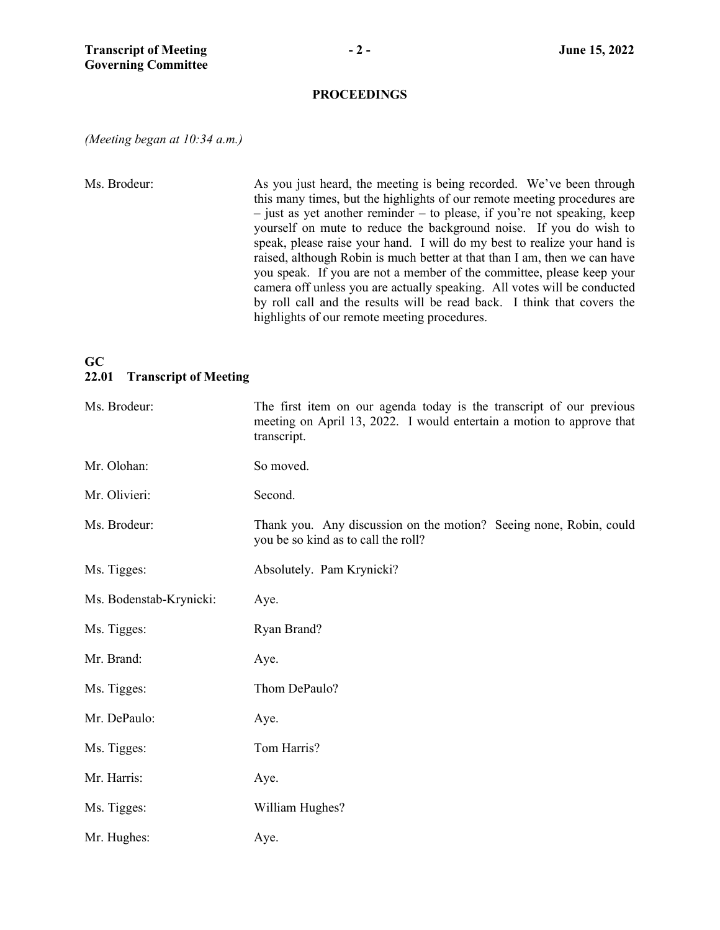#### **PROCEEDINGS**

*(Meeting began at 10:34 a.m.)*

Ms. Brodeur: As you just heard, the meeting is being recorded. We've been through this many times, but the highlights of our remote meeting procedures are – just as yet another reminder – to please, if you're not speaking, keep yourself on mute to reduce the background noise. If you do wish to speak, please raise your hand. I will do my best to realize your hand is raised, although Robin is much better at that than I am, then we can have you speak. If you are not a member of the committee, please keep your camera off unless you are actually speaking. All votes will be conducted by roll call and the results will be read back. I think that covers the highlights of our remote meeting procedures.

### **GC 22.01 Transcript of Meeting**

| Ms. Brodeur:            | The first item on our agenda today is the transcript of our previous<br>meeting on April 13, 2022. I would entertain a motion to approve that<br>transcript. |
|-------------------------|--------------------------------------------------------------------------------------------------------------------------------------------------------------|
| Mr. Olohan:             | So moved.                                                                                                                                                    |
| Mr. Olivieri:           | Second.                                                                                                                                                      |
| Ms. Brodeur:            | Thank you. Any discussion on the motion? Seeing none, Robin, could<br>you be so kind as to call the roll?                                                    |
| Ms. Tigges:             | Absolutely. Pam Krynicki?                                                                                                                                    |
| Ms. Bodenstab-Krynicki: | Aye.                                                                                                                                                         |
| Ms. Tigges:             | Ryan Brand?                                                                                                                                                  |
| Mr. Brand:              | Aye.                                                                                                                                                         |
| Ms. Tigges:             | Thom DePaulo?                                                                                                                                                |
| Mr. DePaulo:            | Aye.                                                                                                                                                         |
| Ms. Tigges:             | Tom Harris?                                                                                                                                                  |
| Mr. Harris:             | Aye.                                                                                                                                                         |
| Ms. Tigges:             | William Hughes?                                                                                                                                              |
| Mr. Hughes:             | Aye.                                                                                                                                                         |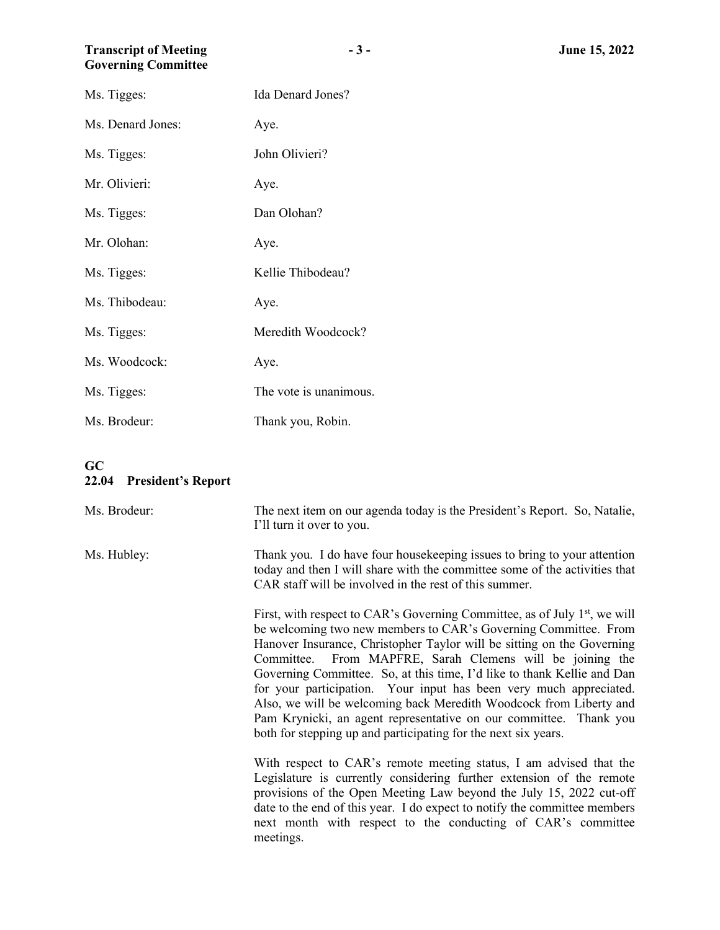| Ms. Tigges:       | Ida Denard Jones?      |
|-------------------|------------------------|
| Ms. Denard Jones: | Aye.                   |
| Ms. Tigges:       | John Olivieri?         |
| Mr. Olivieri:     | Aye.                   |
| Ms. Tigges:       | Dan Olohan?            |
| Mr. Olohan:       | Aye.                   |
| Ms. Tigges:       | Kellie Thibodeau?      |
| Ms. Thibodeau:    | Aye.                   |
| Ms. Tigges:       | Meredith Woodcock?     |
| Ms. Woodcock:     | Aye.                   |
| Ms. Tigges:       | The vote is unanimous. |
| Ms. Brodeur:      | Thank you, Robin.      |

# **GC 22.04 President's Report**

| Ms. Brodeur: | The next item on our agenda today is the President's Report. So, Natalie,<br>I'll turn it over to you.                                                                                                                                                                                                                                                                                                                                                                                                                                                                                                                                                         |
|--------------|----------------------------------------------------------------------------------------------------------------------------------------------------------------------------------------------------------------------------------------------------------------------------------------------------------------------------------------------------------------------------------------------------------------------------------------------------------------------------------------------------------------------------------------------------------------------------------------------------------------------------------------------------------------|
| Ms. Hubley:  | Thank you. I do have four house keeping issues to bring to your attention<br>today and then I will share with the committee some of the activities that<br>CAR staff will be involved in the rest of this summer.                                                                                                                                                                                                                                                                                                                                                                                                                                              |
|              | First, with respect to CAR's Governing Committee, as of July 1 <sup>st</sup> , we will<br>be welcoming two new members to CAR's Governing Committee. From<br>Hanover Insurance, Christopher Taylor will be sitting on the Governing<br>Committee. From MAPFRE, Sarah Clemens will be joining the<br>Governing Committee. So, at this time, I'd like to thank Kellie and Dan<br>for your participation. Your input has been very much appreciated.<br>Also, we will be welcoming back Meredith Woodcock from Liberty and<br>Pam Krynicki, an agent representative on our committee. Thank you<br>both for stepping up and participating for the next six years. |
|              | With respect to CAR's remote meeting status, I am advised that the<br>Legislature is currently considering further extension of the remote<br>provisions of the Open Meeting Law beyond the July 15, 2022 cut-off<br>date to the end of this year. I do expect to notify the committee members<br>next month with respect to the conducting of CAR's committee<br>meetings.                                                                                                                                                                                                                                                                                    |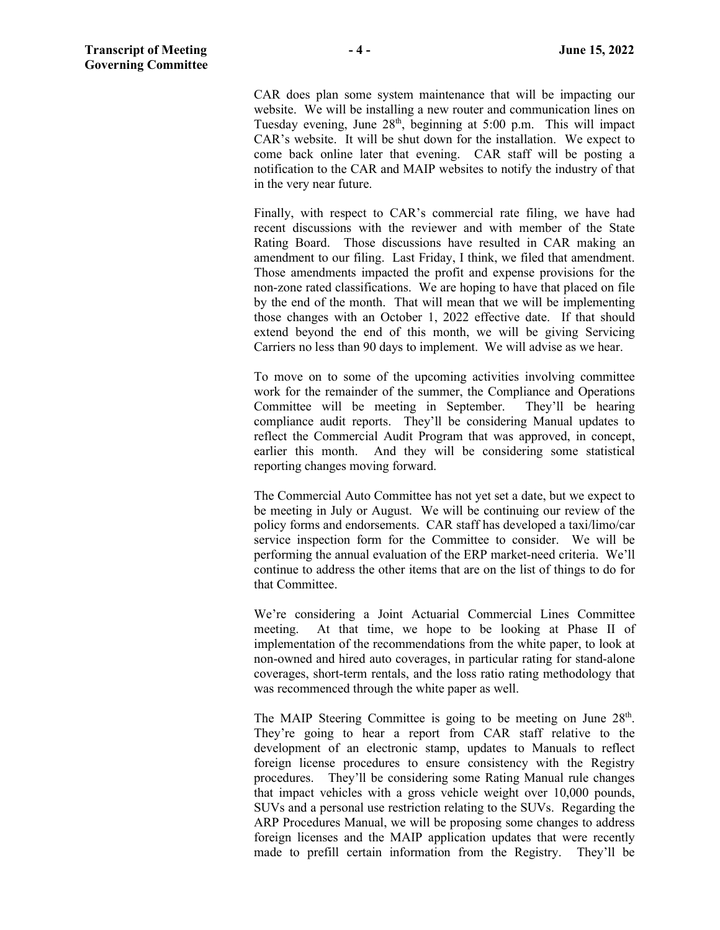CAR does plan some system maintenance that will be impacting our website. We will be installing a new router and communication lines on Tuesday evening, June 28<sup>th</sup>, beginning at 5:00 p.m. This will impact CAR's website. It will be shut down for the installation. We expect to come back online later that evening. CAR staff will be posting a notification to the CAR and MAIP websites to notify the industry of that in the very near future.

Finally, with respect to CAR's commercial rate filing, we have had recent discussions with the reviewer and with member of the State Rating Board. Those discussions have resulted in CAR making an amendment to our filing. Last Friday, I think, we filed that amendment. Those amendments impacted the profit and expense provisions for the non-zone rated classifications. We are hoping to have that placed on file by the end of the month. That will mean that we will be implementing those changes with an October 1, 2022 effective date. If that should extend beyond the end of this month, we will be giving Servicing Carriers no less than 90 days to implement. We will advise as we hear.

To move on to some of the upcoming activities involving committee work for the remainder of the summer, the Compliance and Operations Committee will be meeting in September. They'll be hearing compliance audit reports. They'll be considering Manual updates to reflect the Commercial Audit Program that was approved, in concept, earlier this month. And they will be considering some statistical reporting changes moving forward.

The Commercial Auto Committee has not yet set a date, but we expect to be meeting in July or August. We will be continuing our review of the policy forms and endorsements. CAR staff has developed a taxi/limo/car service inspection form for the Committee to consider. We will be performing the annual evaluation of the ERP market-need criteria. We'll continue to address the other items that are on the list of things to do for that Committee.

We're considering a Joint Actuarial Commercial Lines Committee meeting. At that time, we hope to be looking at Phase II of implementation of the recommendations from the white paper, to look at non-owned and hired auto coverages, in particular rating for stand-alone coverages, short-term rentals, and the loss ratio rating methodology that was recommenced through the white paper as well.

The MAIP Steering Committee is going to be meeting on June 28<sup>th</sup>. They're going to hear a report from CAR staff relative to the development of an electronic stamp, updates to Manuals to reflect foreign license procedures to ensure consistency with the Registry procedures. They'll be considering some Rating Manual rule changes that impact vehicles with a gross vehicle weight over 10,000 pounds, SUVs and a personal use restriction relating to the SUVs. Regarding the ARP Procedures Manual, we will be proposing some changes to address foreign licenses and the MAIP application updates that were recently made to prefill certain information from the Registry. They'll be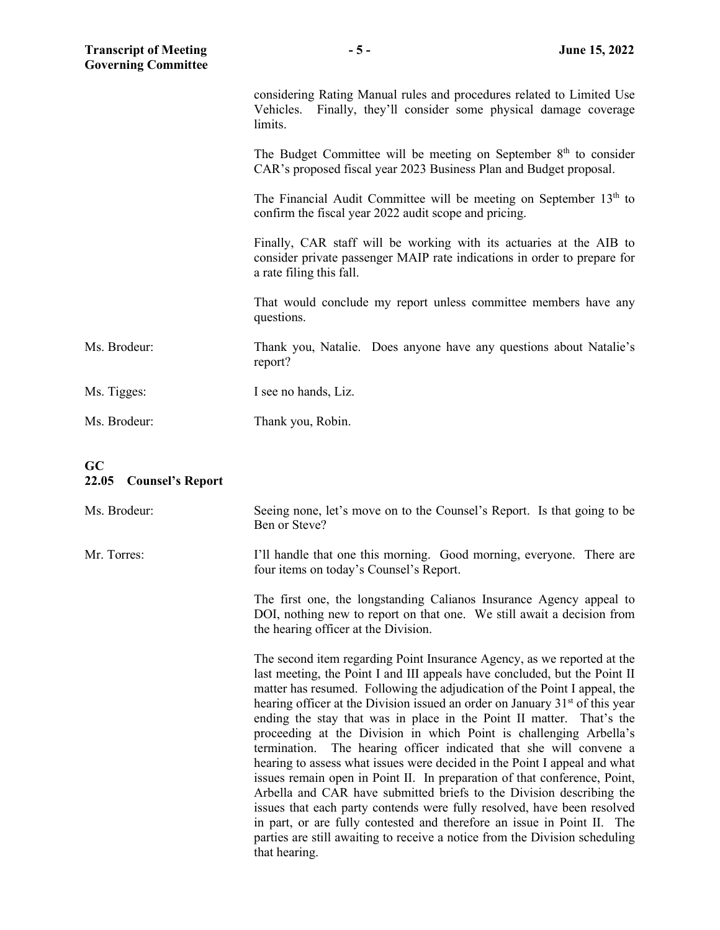| <b>Transcript of Meeting</b><br><b>Governing Committee</b> | $-5-$                                                                                                                                                                       | June 15, 2022 |  |  |  |
|------------------------------------------------------------|-----------------------------------------------------------------------------------------------------------------------------------------------------------------------------|---------------|--|--|--|
|                                                            | considering Rating Manual rules and procedures related to Limited Use<br>Vehicles. Finally, they'll consider some physical damage coverage<br>limits.                       |               |  |  |  |
|                                                            | The Budget Committee will be meeting on September $8th$ to consider<br>CAR's proposed fiscal year 2023 Business Plan and Budget proposal.                                   |               |  |  |  |
|                                                            | The Financial Audit Committee will be meeting on September $13th$ to<br>confirm the fiscal year 2022 audit scope and pricing.                                               |               |  |  |  |
|                                                            | Finally, CAR staff will be working with its actuaries at the AIB to<br>consider private passenger MAIP rate indications in order to prepare for<br>a rate filing this fall. |               |  |  |  |
|                                                            | That would conclude my report unless committee members have any<br>questions.                                                                                               |               |  |  |  |
| Ms. Brodeur:                                               | Thank you, Natalie. Does anyone have any questions about Natalie's<br>report?                                                                                               |               |  |  |  |
| Ms. Tigges:                                                | I see no hands, Liz.                                                                                                                                                        |               |  |  |  |
| Ms. Brodeur:                                               | Thank you, Robin.                                                                                                                                                           |               |  |  |  |
|                                                            |                                                                                                                                                                             |               |  |  |  |

# **GC 22.05 Counsel's Report**

| Ms. Brodeur: | Seeing none, let's move on to the Counsel's Report. Is that going to be<br>Ben or Steve?                                                                                                                                                                                                                                                                                                                                                                                                                                                                                                                                                                                                                                                                                                                                                                                                                                                                                                                                                   |  |  |  |
|--------------|--------------------------------------------------------------------------------------------------------------------------------------------------------------------------------------------------------------------------------------------------------------------------------------------------------------------------------------------------------------------------------------------------------------------------------------------------------------------------------------------------------------------------------------------------------------------------------------------------------------------------------------------------------------------------------------------------------------------------------------------------------------------------------------------------------------------------------------------------------------------------------------------------------------------------------------------------------------------------------------------------------------------------------------------|--|--|--|
| Mr. Torres:  | I'll handle that one this morning. Good morning, everyone. There are<br>four items on today's Counsel's Report.                                                                                                                                                                                                                                                                                                                                                                                                                                                                                                                                                                                                                                                                                                                                                                                                                                                                                                                            |  |  |  |
|              | The first one, the longstanding Calianos Insurance Agency appeal to<br>DOI, nothing new to report on that one. We still await a decision from<br>the hearing officer at the Division.                                                                                                                                                                                                                                                                                                                                                                                                                                                                                                                                                                                                                                                                                                                                                                                                                                                      |  |  |  |
|              | The second item regarding Point Insurance Agency, as we reported at the<br>last meeting, the Point I and III appeals have concluded, but the Point II<br>matter has resumed. Following the adjudication of the Point I appeal, the<br>hearing officer at the Division issued an order on January 31 <sup>st</sup> of this year<br>ending the stay that was in place in the Point II matter. That's the<br>proceeding at the Division in which Point is challenging Arbella's<br>termination. The hearing officer indicated that she will convene a<br>hearing to assess what issues were decided in the Point I appeal and what<br>issues remain open in Point II. In preparation of that conference, Point,<br>Arbella and CAR have submitted briefs to the Division describing the<br>issues that each party contends were fully resolved, have been resolved<br>in part, or are fully contested and therefore an issue in Point II. The<br>parties are still awaiting to receive a notice from the Division scheduling<br>that hearing. |  |  |  |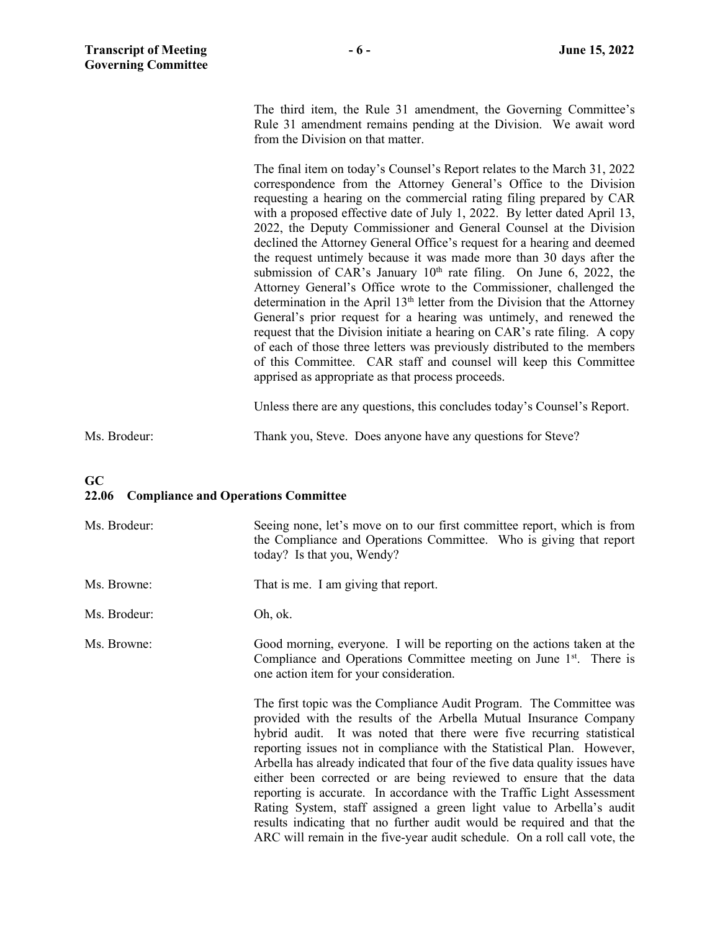The third item, the Rule 31 amendment, the Governing Committee's Rule 31 amendment remains pending at the Division. We await word from the Division on that matter.

The final item on today's Counsel's Report relates to the March 31, 2022 correspondence from the Attorney General's Office to the Division requesting a hearing on the commercial rating filing prepared by CAR with a proposed effective date of July 1, 2022. By letter dated April 13, 2022, the Deputy Commissioner and General Counsel at the Division declined the Attorney General Office's request for a hearing and deemed the request untimely because it was made more than 30 days after the submission of CAR's January  $10<sup>th</sup>$  rate filing. On June 6, 2022, the Attorney General's Office wrote to the Commissioner, challenged the determination in the April  $13<sup>th</sup>$  letter from the Division that the Attorney General's prior request for a hearing was untimely, and renewed the request that the Division initiate a hearing on CAR's rate filing. A copy of each of those three letters was previously distributed to the members of this Committee. CAR staff and counsel will keep this Committee apprised as appropriate as that process proceeds.

Unless there are any questions, this concludes today's Counsel's Report.

Ms. Brodeur: Thank you, Steve. Does anyone have any questions for Steve?

**GC**

# **22.06 Compliance and Operations Committee**

| Ms. Brodeur: | Seeing none, let's move on to our first committee report, which is from<br>the Compliance and Operations Committee. Who is giving that report<br>today? Is that you, Wendy?                                                                                                                                                                                                                                                                                                                                                                                                                                                                                                                                                                                  |  |  |  |
|--------------|--------------------------------------------------------------------------------------------------------------------------------------------------------------------------------------------------------------------------------------------------------------------------------------------------------------------------------------------------------------------------------------------------------------------------------------------------------------------------------------------------------------------------------------------------------------------------------------------------------------------------------------------------------------------------------------------------------------------------------------------------------------|--|--|--|
| Ms. Browne:  | That is me. I am giving that report.                                                                                                                                                                                                                                                                                                                                                                                                                                                                                                                                                                                                                                                                                                                         |  |  |  |
| Ms. Brodeur: | Oh, ok.                                                                                                                                                                                                                                                                                                                                                                                                                                                                                                                                                                                                                                                                                                                                                      |  |  |  |
| Ms. Browne:  | Good morning, everyone. I will be reporting on the actions taken at the<br>Compliance and Operations Committee meeting on June 1 <sup>st</sup> . There is<br>one action item for your consideration.                                                                                                                                                                                                                                                                                                                                                                                                                                                                                                                                                         |  |  |  |
|              | The first topic was the Compliance Audit Program. The Committee was<br>provided with the results of the Arbella Mutual Insurance Company<br>hybrid audit. It was noted that there were five recurring statistical<br>reporting issues not in compliance with the Statistical Plan. However,<br>Arbella has already indicated that four of the five data quality issues have<br>either been corrected or are being reviewed to ensure that the data<br>reporting is accurate. In accordance with the Traffic Light Assessment<br>Rating System, staff assigned a green light value to Arbella's audit<br>results indicating that no further audit would be required and that the<br>ARC will remain in the five-year audit schedule. On a roll call vote, the |  |  |  |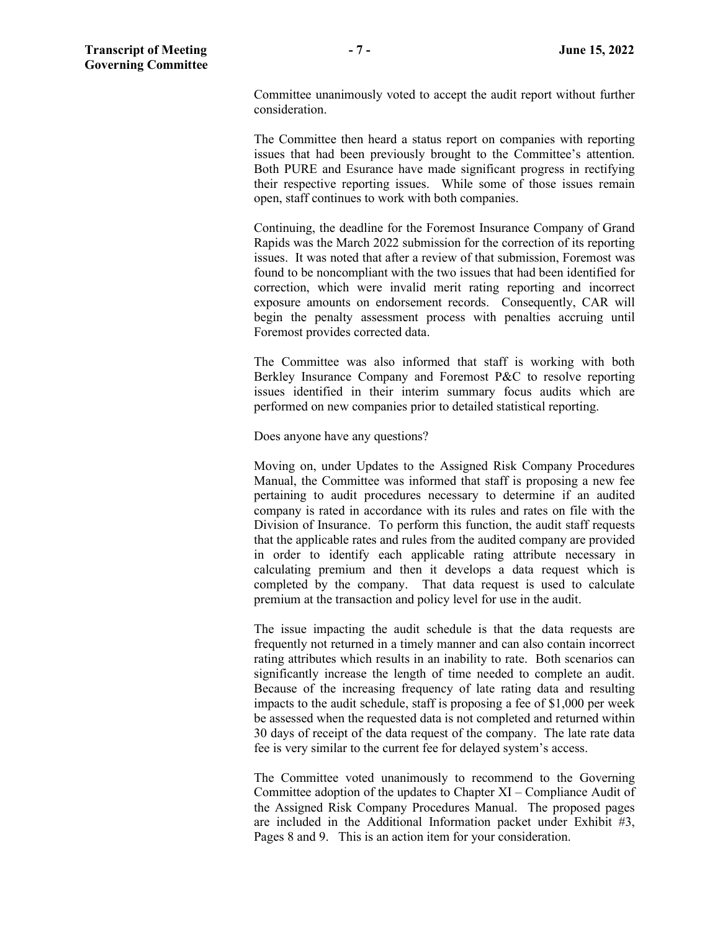Committee unanimously voted to accept the audit report without further consideration.

The Committee then heard a status report on companies with reporting issues that had been previously brought to the Committee's attention. Both PURE and Esurance have made significant progress in rectifying their respective reporting issues. While some of those issues remain open, staff continues to work with both companies.

Continuing, the deadline for the Foremost Insurance Company of Grand Rapids was the March 2022 submission for the correction of its reporting issues. It was noted that after a review of that submission, Foremost was found to be noncompliant with the two issues that had been identified for correction, which were invalid merit rating reporting and incorrect exposure amounts on endorsement records. Consequently, CAR will begin the penalty assessment process with penalties accruing until Foremost provides corrected data.

The Committee was also informed that staff is working with both Berkley Insurance Company and Foremost P&C to resolve reporting issues identified in their interim summary focus audits which are performed on new companies prior to detailed statistical reporting.

Does anyone have any questions?

Moving on, under Updates to the Assigned Risk Company Procedures Manual, the Committee was informed that staff is proposing a new fee pertaining to audit procedures necessary to determine if an audited company is rated in accordance with its rules and rates on file with the Division of Insurance. To perform this function, the audit staff requests that the applicable rates and rules from the audited company are provided in order to identify each applicable rating attribute necessary in calculating premium and then it develops a data request which is completed by the company. That data request is used to calculate premium at the transaction and policy level for use in the audit.

The issue impacting the audit schedule is that the data requests are frequently not returned in a timely manner and can also contain incorrect rating attributes which results in an inability to rate. Both scenarios can significantly increase the length of time needed to complete an audit. Because of the increasing frequency of late rating data and resulting impacts to the audit schedule, staff is proposing a fee of \$1,000 per week be assessed when the requested data is not completed and returned within 30 days of receipt of the data request of the company. The late rate data fee is very similar to the current fee for delayed system's access.

The Committee voted unanimously to recommend to the Governing Committee adoption of the updates to Chapter XI – Compliance Audit of the Assigned Risk Company Procedures Manual. The proposed pages are included in the Additional Information packet under Exhibit #3, Pages 8 and 9. This is an action item for your consideration.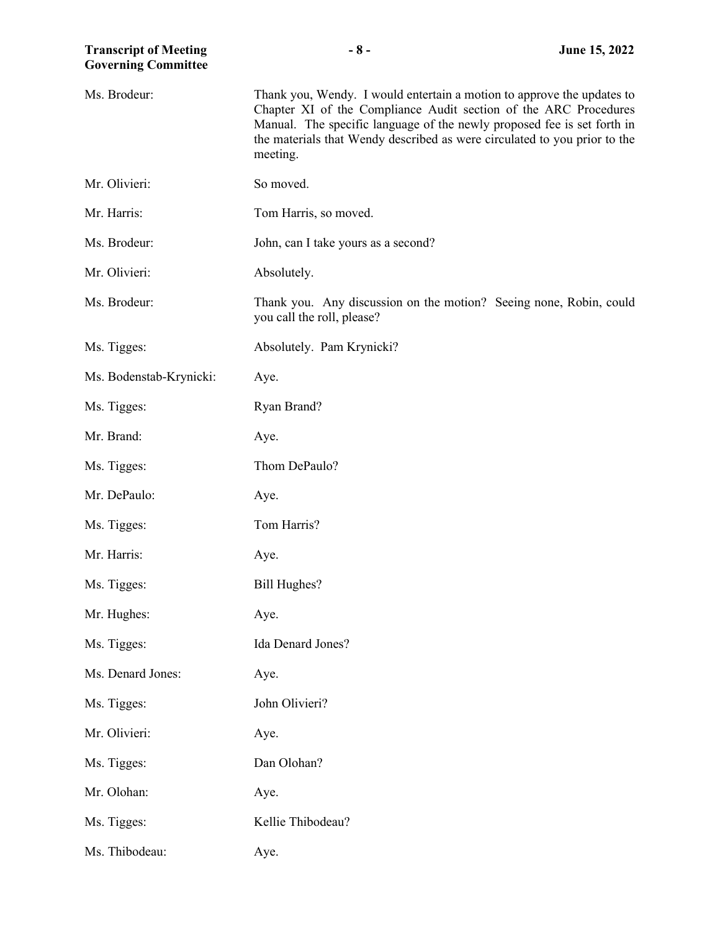| <b>Transcript of Meeting</b><br><b>Governing Committee</b> | $-8-$                                                                                                                                                                                                                                                                                                          | June 15, 2022 |
|------------------------------------------------------------|----------------------------------------------------------------------------------------------------------------------------------------------------------------------------------------------------------------------------------------------------------------------------------------------------------------|---------------|
| Ms. Brodeur:                                               | Thank you, Wendy. I would entertain a motion to approve the updates to<br>Chapter XI of the Compliance Audit section of the ARC Procedures<br>Manual. The specific language of the newly proposed fee is set forth in<br>the materials that Wendy described as were circulated to you prior to the<br>meeting. |               |
| Mr. Olivieri:                                              | So moved.                                                                                                                                                                                                                                                                                                      |               |
| Mr. Harris:                                                | Tom Harris, so moved.                                                                                                                                                                                                                                                                                          |               |
| Ms. Brodeur:                                               | John, can I take yours as a second?                                                                                                                                                                                                                                                                            |               |
| Mr. Olivieri:                                              | Absolutely.                                                                                                                                                                                                                                                                                                    |               |
| Ms. Brodeur:                                               | Thank you. Any discussion on the motion? Seeing none, Robin, could<br>you call the roll, please?                                                                                                                                                                                                               |               |
| Ms. Tigges:                                                | Absolutely. Pam Krynicki?                                                                                                                                                                                                                                                                                      |               |
| Ms. Bodenstab-Krynicki:                                    | Aye.                                                                                                                                                                                                                                                                                                           |               |
| Ms. Tigges:                                                | Ryan Brand?                                                                                                                                                                                                                                                                                                    |               |
| Mr. Brand:                                                 | Aye.                                                                                                                                                                                                                                                                                                           |               |
| Ms. Tigges:                                                | Thom DePaulo?                                                                                                                                                                                                                                                                                                  |               |
| Mr. DePaulo:                                               | Aye.                                                                                                                                                                                                                                                                                                           |               |
| Ms. Tigges:                                                | Tom Harris?                                                                                                                                                                                                                                                                                                    |               |
| Mr. Harris:                                                | Aye.                                                                                                                                                                                                                                                                                                           |               |
| Ms. Tigges:                                                | Bill Hughes?                                                                                                                                                                                                                                                                                                   |               |
| Mr. Hughes:                                                | Aye.                                                                                                                                                                                                                                                                                                           |               |
| Ms. Tigges:                                                | Ida Denard Jones?                                                                                                                                                                                                                                                                                              |               |
| Ms. Denard Jones:                                          | Aye.                                                                                                                                                                                                                                                                                                           |               |
| Ms. Tigges:                                                | John Olivieri?                                                                                                                                                                                                                                                                                                 |               |
| Mr. Olivieri:                                              | Aye.                                                                                                                                                                                                                                                                                                           |               |
| Ms. Tigges:                                                | Dan Olohan?                                                                                                                                                                                                                                                                                                    |               |
| Mr. Olohan:                                                | Aye.                                                                                                                                                                                                                                                                                                           |               |
| Ms. Tigges:                                                | Kellie Thibodeau?                                                                                                                                                                                                                                                                                              |               |
| Ms. Thibodeau:                                             | Aye.                                                                                                                                                                                                                                                                                                           |               |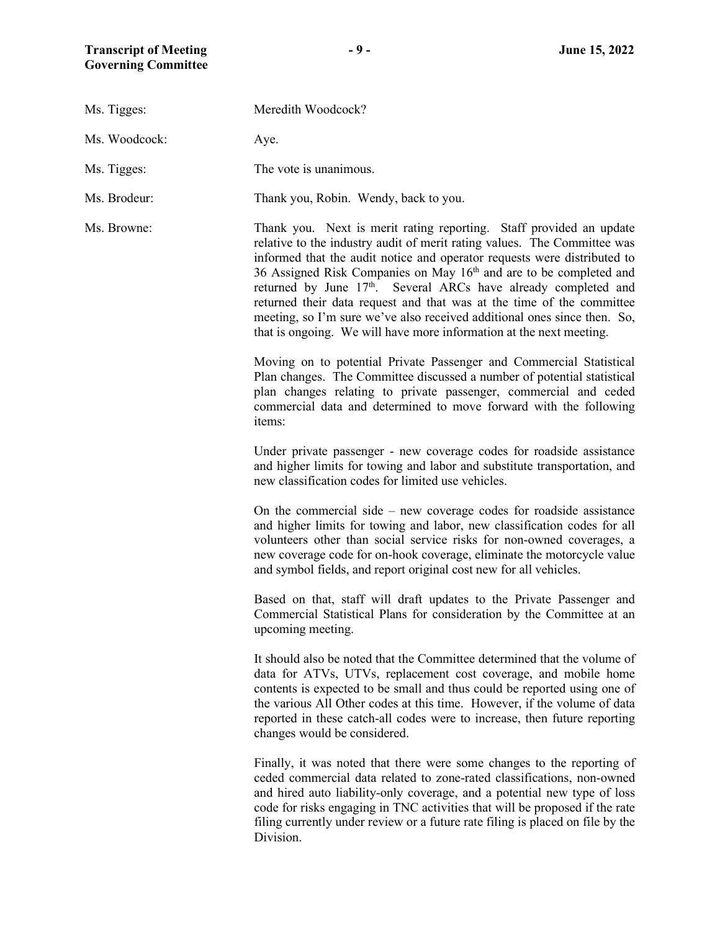| Ms. Tigges:   | Meredith Woodcock?                                                                                                                                                                                                                                                                                                                                                                                                                                                                                                                                                                                                       |
|---------------|--------------------------------------------------------------------------------------------------------------------------------------------------------------------------------------------------------------------------------------------------------------------------------------------------------------------------------------------------------------------------------------------------------------------------------------------------------------------------------------------------------------------------------------------------------------------------------------------------------------------------|
| Ms. Woodcock: | Aye.                                                                                                                                                                                                                                                                                                                                                                                                                                                                                                                                                                                                                     |
| Ms. Tigges:   | The vote is unanimous.                                                                                                                                                                                                                                                                                                                                                                                                                                                                                                                                                                                                   |
| Ms. Brodeur:  | Thank you, Robin. Wendy, back to you.                                                                                                                                                                                                                                                                                                                                                                                                                                                                                                                                                                                    |
| Ms. Browne:   | Thank you. Next is merit rating reporting. Staff provided an update<br>relative to the industry audit of merit rating values. The Committee was<br>informed that the audit notice and operator requests were distributed to<br>36 Assigned Risk Companies on May 16 <sup>th</sup> and are to be completed and<br>returned by June 17 <sup>th</sup> . Several ARCs have already completed and<br>returned their data request and that was at the time of the committee<br>meeting, so I'm sure we've also received additional ones since then. So,<br>that is ongoing. We will have more information at the next meeting. |
|               | Moving on to potential Private Passenger and Commercial Statistical<br>Plan changes. The Committee discussed a number of potential statistical<br>plan changes relating to private passenger, commercial and ceded<br>commercial data and determined to move forward with the following<br>items:                                                                                                                                                                                                                                                                                                                        |
|               | Under private passenger - new coverage codes for roadside assistance<br>and higher limits for towing and labor and substitute transportation, and<br>new classification codes for limited use vehicles.                                                                                                                                                                                                                                                                                                                                                                                                                  |
|               | On the commercial side $-$ new coverage codes for roadside assistance<br>and higher limits for towing and labor, new classification codes for all<br>volunteers other than social service risks for non-owned coverages, a<br>new coverage code for on-hook coverage, eliminate the motorcycle value<br>and symbol fields, and report original cost new for all vehicles.                                                                                                                                                                                                                                                |
|               | Based on that, staff will draft updates to the Private Passenger and<br>Commercial Statistical Plans for consideration by the Committee at an<br>upcoming meeting.                                                                                                                                                                                                                                                                                                                                                                                                                                                       |
|               | It should also be noted that the Committee determined that the volume of<br>data for ATVs, UTVs, replacement cost coverage, and mobile home<br>contents is expected to be small and thus could be reported using one of<br>the various All Other codes at this time. However, if the volume of data<br>reported in these catch-all codes were to increase, then future reporting<br>changes would be considered.                                                                                                                                                                                                         |
|               | Finally, it was noted that there were some changes to the reporting of<br>ceded commercial data related to zone-rated classifications, non-owned<br>and hired auto liability-only coverage, and a potential new type of loss<br>code for risks engaging in TNC activities that will be proposed if the rate<br>filing currently under review or a future rate filing is placed on file by the                                                                                                                                                                                                                            |

Division.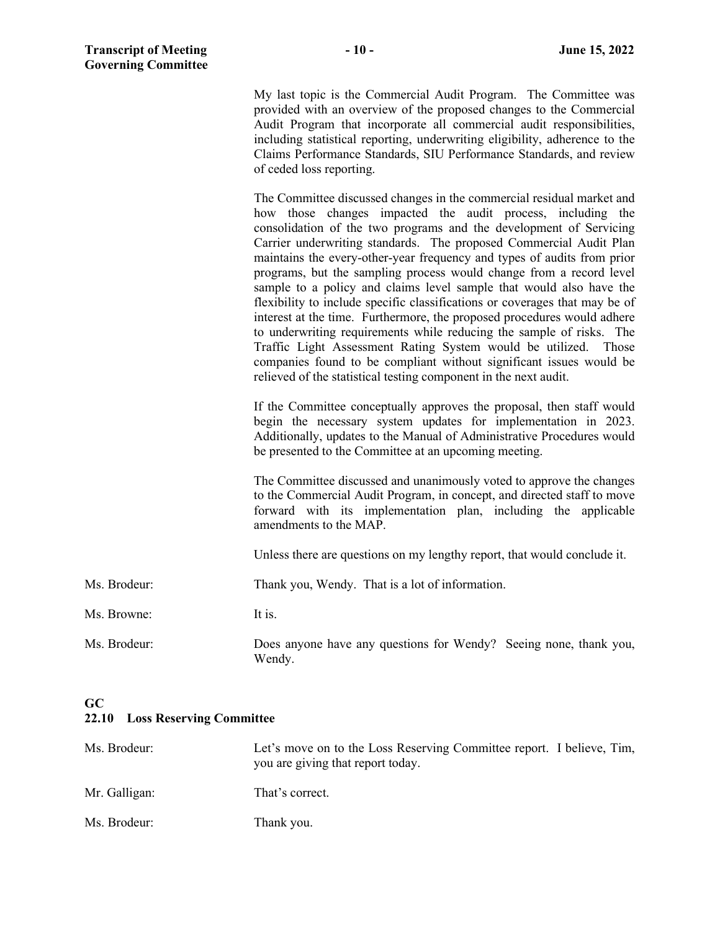My last topic is the Commercial Audit Program. The Committee was provided with an overview of the proposed changes to the Commercial Audit Program that incorporate all commercial audit responsibilities, including statistical reporting, underwriting eligibility, adherence to the Claims Performance Standards, SIU Performance Standards, and review of ceded loss reporting.

The Committee discussed changes in the commercial residual market and how those changes impacted the audit process, including the consolidation of the two programs and the development of Servicing Carrier underwriting standards. The proposed Commercial Audit Plan maintains the every-other-year frequency and types of audits from prior programs, but the sampling process would change from a record level sample to a policy and claims level sample that would also have the flexibility to include specific classifications or coverages that may be of interest at the time. Furthermore, the proposed procedures would adhere to underwriting requirements while reducing the sample of risks. The Traffic Light Assessment Rating System would be utilized. Those companies found to be compliant without significant issues would be relieved of the statistical testing component in the next audit.

If the Committee conceptually approves the proposal, then staff would begin the necessary system updates for implementation in 2023. Additionally, updates to the Manual of Administrative Procedures would be presented to the Committee at an upcoming meeting.

The Committee discussed and unanimously voted to approve the changes to the Commercial Audit Program, in concept, and directed staff to move forward with its implementation plan, including the applicable amendments to the MAP.

Unless there are questions on my lengthy report, that would conclude it.

Ms. Brodeur: Thank you, Wendy. That is a lot of information.

Ms. Browne: It is.

Ms. Brodeur: Does anyone have any questions for Wendy? Seeing none, thank you, Wendy.

# **GC**

### **22.10 Loss Reserving Committee**

| Ms. Brodeur:  | Let's move on to the Loss Reserving Committee report. I believe, Tim,<br>you are giving that report today. |  |
|---------------|------------------------------------------------------------------------------------------------------------|--|
| Mr. Galligan: | That's correct.                                                                                            |  |
| Ms. Brodeur:  | Thank you.                                                                                                 |  |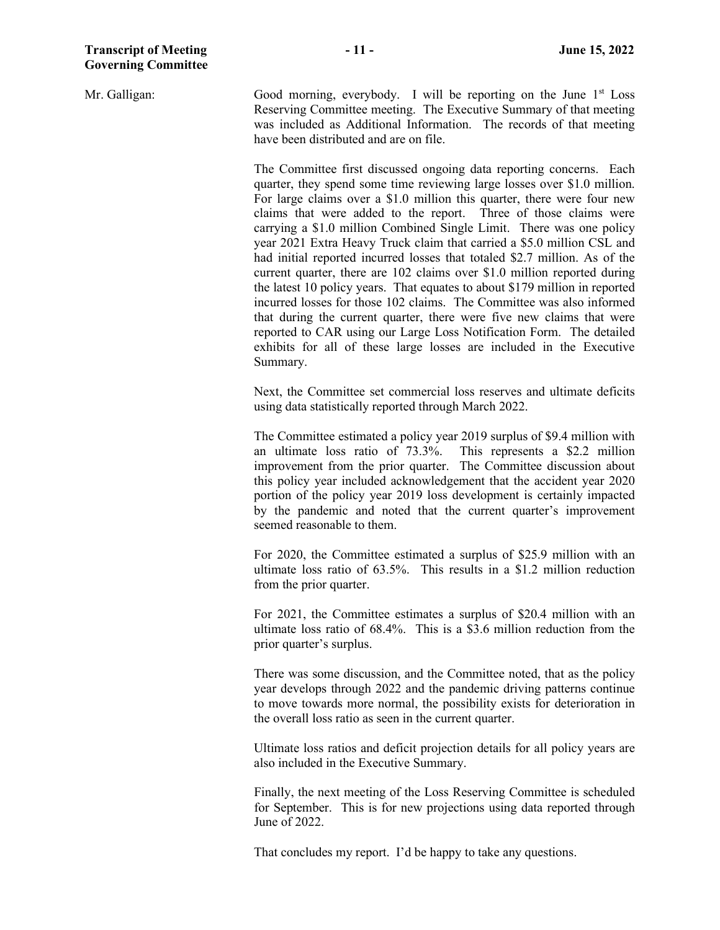Mr. Galligan: Good morning, everybody. I will be reporting on the June 1<sup>st</sup> Loss Reserving Committee meeting. The Executive Summary of that meeting was included as Additional Information. The records of that meeting have been distributed and are on file.

> The Committee first discussed ongoing data reporting concerns. Each quarter, they spend some time reviewing large losses over \$1.0 million. For large claims over a \$1.0 million this quarter, there were four new claims that were added to the report. Three of those claims were carrying a \$1.0 million Combined Single Limit. There was one policy year 2021 Extra Heavy Truck claim that carried a \$5.0 million CSL and had initial reported incurred losses that totaled \$2.7 million. As of the current quarter, there are 102 claims over \$1.0 million reported during the latest 10 policy years. That equates to about \$179 million in reported incurred losses for those 102 claims. The Committee was also informed that during the current quarter, there were five new claims that were reported to CAR using our Large Loss Notification Form. The detailed exhibits for all of these large losses are included in the Executive Summary.

> Next, the Committee set commercial loss reserves and ultimate deficits using data statistically reported through March 2022.

> The Committee estimated a policy year 2019 surplus of \$9.4 million with an ultimate loss ratio of 73.3%. This represents a \$2.2 million improvement from the prior quarter. The Committee discussion about this policy year included acknowledgement that the accident year 2020 portion of the policy year 2019 loss development is certainly impacted by the pandemic and noted that the current quarter's improvement seemed reasonable to them.

> For 2020, the Committee estimated a surplus of \$25.9 million with an ultimate loss ratio of 63.5%. This results in a \$1.2 million reduction from the prior quarter.

> For 2021, the Committee estimates a surplus of \$20.4 million with an ultimate loss ratio of  $68.4\%$ . This is a  $\hat{83.6}$  million reduction from the prior quarter's surplus.

> There was some discussion, and the Committee noted, that as the policy year develops through 2022 and the pandemic driving patterns continue to move towards more normal, the possibility exists for deterioration in the overall loss ratio as seen in the current quarter.

> Ultimate loss ratios and deficit projection details for all policy years are also included in the Executive Summary.

> Finally, the next meeting of the Loss Reserving Committee is scheduled for September. This is for new projections using data reported through June of 2022.

That concludes my report. I'd be happy to take any questions.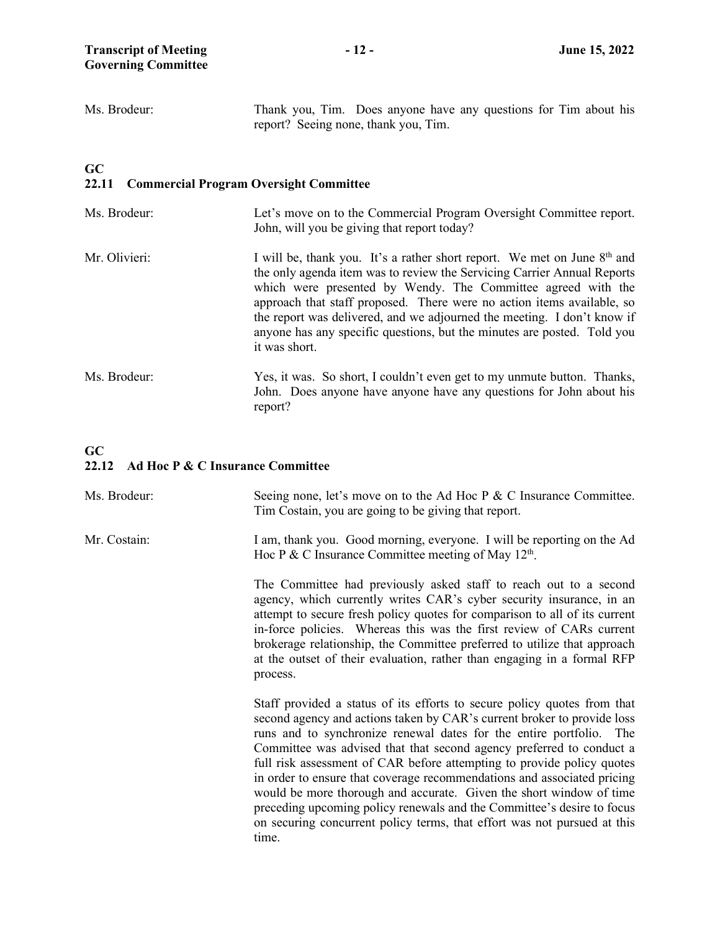| Ms. Brodeur: | Thank you, Tim. Does anyone have any questions for Tim about his |  |  |  |  |  |
|--------------|------------------------------------------------------------------|--|--|--|--|--|
|              | report? Seeing none, thank you, Tim.                             |  |  |  |  |  |

# **GC 22.11 Commercial Program Oversight Committee**

| Ms. Brodeur:  | Let's move on to the Commercial Program Oversight Committee report.<br>John, will you be giving that report today?                                                                                                                                                                                                                                                                                                                                                               |
|---------------|----------------------------------------------------------------------------------------------------------------------------------------------------------------------------------------------------------------------------------------------------------------------------------------------------------------------------------------------------------------------------------------------------------------------------------------------------------------------------------|
| Mr. Olivieri: | I will be, thank you. It's a rather short report. We met on June 8 <sup>th</sup> and<br>the only agenda item was to review the Servicing Carrier Annual Reports<br>which were presented by Wendy. The Committee agreed with the<br>approach that staff proposed. There were no action items available, so<br>the report was delivered, and we adjourned the meeting. I don't know if<br>anyone has any specific questions, but the minutes are posted. Told you<br>it was short. |
| Ms. Brodeur:  | Yes, it was. So short, I couldn't even get to my unmute button. Thanks,<br>John. Does anyone have anyone have any questions for John about his<br>report?                                                                                                                                                                                                                                                                                                                        |

### **GC 22.12 Ad Hoc P & C Insurance Committee**

| Ms. Brodeur: | Seeing none, let's move on to the Ad Hoc P & C Insurance Committee.<br>Tim Costain, you are going to be giving that report.                                                                                                                                                                                                                                                                                                                                                                                                                                                                                                                                                                   |
|--------------|-----------------------------------------------------------------------------------------------------------------------------------------------------------------------------------------------------------------------------------------------------------------------------------------------------------------------------------------------------------------------------------------------------------------------------------------------------------------------------------------------------------------------------------------------------------------------------------------------------------------------------------------------------------------------------------------------|
| Mr. Costain: | I am, thank you. Good morning, everyone. I will be reporting on the Ad<br>Hoc P & C Insurance Committee meeting of May $12th$ .                                                                                                                                                                                                                                                                                                                                                                                                                                                                                                                                                               |
|              | The Committee had previously asked staff to reach out to a second<br>agency, which currently writes CAR's cyber security insurance, in an<br>attempt to secure fresh policy quotes for comparison to all of its current<br>in-force policies. Whereas this was the first review of CARs current<br>brokerage relationship, the Committee preferred to utilize that approach<br>at the outset of their evaluation, rather than engaging in a formal RFP<br>process.                                                                                                                                                                                                                            |
|              | Staff provided a status of its efforts to secure policy quotes from that<br>second agency and actions taken by CAR's current broker to provide loss<br>runs and to synchronize renewal dates for the entire portfolio. The<br>Committee was advised that that second agency preferred to conduct a<br>full risk assessment of CAR before attempting to provide policy quotes<br>in order to ensure that coverage recommendations and associated pricing<br>would be more thorough and accurate. Given the short window of time<br>preceding upcoming policy renewals and the Committee's desire to focus<br>on securing concurrent policy terms, that effort was not pursued at this<br>time. |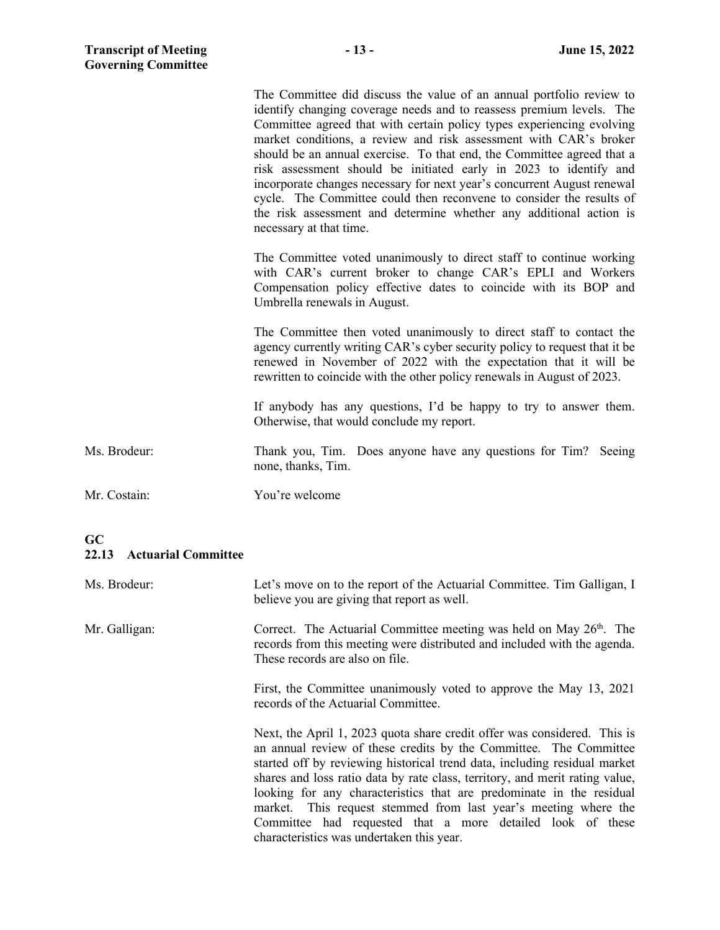| <b>Transcript of Meeting</b><br><b>Governing Committee</b> | $-13-$                                                                                                                                                                                                                                                                                                                                                                                                                                                                                                                                                                                                                                                                                        | June 15, 2022 |
|------------------------------------------------------------|-----------------------------------------------------------------------------------------------------------------------------------------------------------------------------------------------------------------------------------------------------------------------------------------------------------------------------------------------------------------------------------------------------------------------------------------------------------------------------------------------------------------------------------------------------------------------------------------------------------------------------------------------------------------------------------------------|---------------|
|                                                            | The Committee did discuss the value of an annual portfolio review to<br>identify changing coverage needs and to reassess premium levels. The<br>Committee agreed that with certain policy types experiencing evolving<br>market conditions, a review and risk assessment with CAR's broker<br>should be an annual exercise. To that end, the Committee agreed that a<br>risk assessment should be initiated early in 2023 to identify and<br>incorporate changes necessary for next year's concurrent August renewal<br>cycle. The Committee could then reconvene to consider the results of<br>the risk assessment and determine whether any additional action is<br>necessary at that time. |               |
|                                                            | The Committee voted unanimously to direct staff to continue working<br>with CAR's current broker to change CAR's EPLI and Workers<br>Compensation policy effective dates to coincide with its BOP and<br>Umbrella renewals in August.                                                                                                                                                                                                                                                                                                                                                                                                                                                         |               |
|                                                            | The Committee then voted unanimously to direct staff to contact the<br>agency currently writing CAR's cyber security policy to request that it be<br>renewed in November of 2022 with the expectation that it will be<br>rewritten to coincide with the other policy renewals in August of 2023.                                                                                                                                                                                                                                                                                                                                                                                              |               |
|                                                            | If anybody has any questions, I'd be happy to try to answer them.<br>Otherwise, that would conclude my report.                                                                                                                                                                                                                                                                                                                                                                                                                                                                                                                                                                                |               |
| Ms. Brodeur:                                               | Thank you, Tim. Does anyone have any questions for Tim?<br>none, thanks, Tim.                                                                                                                                                                                                                                                                                                                                                                                                                                                                                                                                                                                                                 | Seeing        |
| Mr. Costain:                                               | You're welcome                                                                                                                                                                                                                                                                                                                                                                                                                                                                                                                                                                                                                                                                                |               |

# **GC 22.13 Actuarial Committee**

| Ms. Brodeur:  | Let's move on to the report of the Actuarial Committee. Tim Galligan, I<br>believe you are giving that report as well.                                                                                                                                                                                                                                                                                                                                                                                                                                           |  |
|---------------|------------------------------------------------------------------------------------------------------------------------------------------------------------------------------------------------------------------------------------------------------------------------------------------------------------------------------------------------------------------------------------------------------------------------------------------------------------------------------------------------------------------------------------------------------------------|--|
| Mr. Galligan: | Correct. The Actuarial Committee meeting was held on May $26th$ . The<br>records from this meeting were distributed and included with the agenda.<br>These records are also on file.                                                                                                                                                                                                                                                                                                                                                                             |  |
|               | First, the Committee unanimously voted to approve the May 13, 2021<br>records of the Actuarial Committee.                                                                                                                                                                                                                                                                                                                                                                                                                                                        |  |
|               | Next, the April 1, 2023 quota share credit offer was considered. This is<br>an annual review of these credits by the Committee. The Committee<br>started off by reviewing historical trend data, including residual market<br>shares and loss ratio data by rate class, territory, and merit rating value,<br>looking for any characteristics that are predominate in the residual<br>market. This request stemmed from last year's meeting where the<br>Committee had requested that a more detailed look of these<br>characteristics was undertaken this year. |  |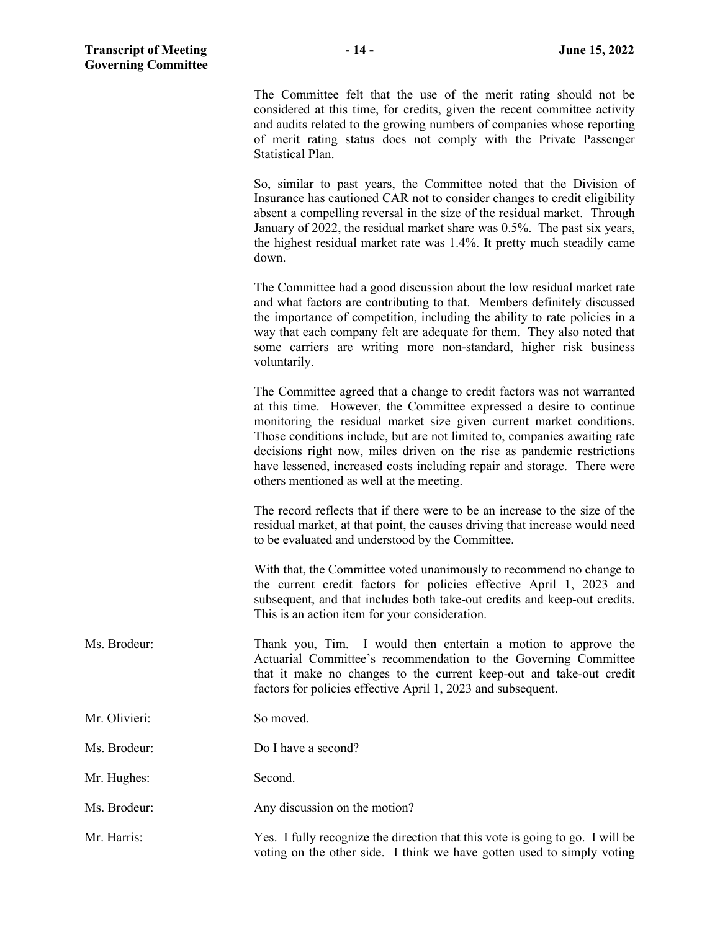The Committee felt that the use of the merit rating should not be considered at this time, for credits, given the recent committee activity and audits related to the growing numbers of companies whose reporting of merit rating status does not comply with the Private Passenger Statistical Plan.

So, similar to past years, the Committee noted that the Division of Insurance has cautioned CAR not to consider changes to credit eligibility absent a compelling reversal in the size of the residual market. Through January of 2022, the residual market share was 0.5%. The past six years, the highest residual market rate was 1.4%. It pretty much steadily came down.

The Committee had a good discussion about the low residual market rate and what factors are contributing to that. Members definitely discussed the importance of competition, including the ability to rate policies in a way that each company felt are adequate for them. They also noted that some carriers are writing more non-standard, higher risk business voluntarily.

The Committee agreed that a change to credit factors was not warranted at this time. However, the Committee expressed a desire to continue monitoring the residual market size given current market conditions. Those conditions include, but are not limited to, companies awaiting rate decisions right now, miles driven on the rise as pandemic restrictions have lessened, increased costs including repair and storage. There were others mentioned as well at the meeting.

The record reflects that if there were to be an increase to the size of the residual market, at that point, the causes driving that increase would need to be evaluated and understood by the Committee.

With that, the Committee voted unanimously to recommend no change to the current credit factors for policies effective April 1, 2023 and subsequent, and that includes both take-out credits and keep-out credits. This is an action item for your consideration.

- Ms. Brodeur: Thank you, Tim. I would then entertain a motion to approve the Actuarial Committee's recommendation to the Governing Committee that it make no changes to the current keep-out and take-out credit factors for policies effective April 1, 2023 and subsequent.
- Mr. Olivieri: So moved. Ms. Brodeur: Do I have a second?
- Mr. Hughes: Second.
- Ms. Brodeur: Any discussion on the motion?

Mr. Harris: Yes. I fully recognize the direction that this vote is going to go. I will be voting on the other side. I think we have gotten used to simply voting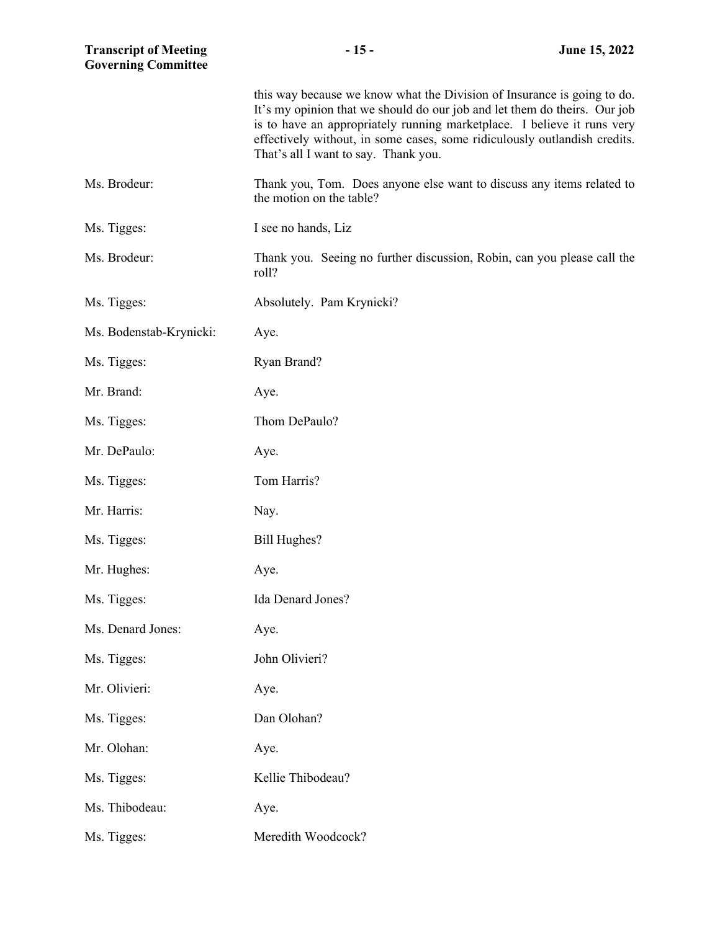| <b>Transcript of Meeting</b><br><b>Governing Committee</b> | $-15-$                                                                                                                                                                                                                                                                                                                                               | June 15, 2022 |
|------------------------------------------------------------|------------------------------------------------------------------------------------------------------------------------------------------------------------------------------------------------------------------------------------------------------------------------------------------------------------------------------------------------------|---------------|
|                                                            | this way because we know what the Division of Insurance is going to do.<br>It's my opinion that we should do our job and let them do theirs. Our job<br>is to have an appropriately running marketplace. I believe it runs very<br>effectively without, in some cases, some ridiculously outlandish credits.<br>That's all I want to say. Thank you. |               |
| Ms. Brodeur:                                               | Thank you, Tom. Does anyone else want to discuss any items related to<br>the motion on the table?                                                                                                                                                                                                                                                    |               |
| Ms. Tigges:                                                | I see no hands, Liz                                                                                                                                                                                                                                                                                                                                  |               |
| Ms. Brodeur:                                               | Thank you. Seeing no further discussion, Robin, can you please call the<br>roll?                                                                                                                                                                                                                                                                     |               |
| Ms. Tigges:                                                | Absolutely. Pam Krynicki?                                                                                                                                                                                                                                                                                                                            |               |
| Ms. Bodenstab-Krynicki:                                    | Aye.                                                                                                                                                                                                                                                                                                                                                 |               |
| Ms. Tigges:                                                | Ryan Brand?                                                                                                                                                                                                                                                                                                                                          |               |
| Mr. Brand:                                                 | Aye.                                                                                                                                                                                                                                                                                                                                                 |               |
| Ms. Tigges:                                                | Thom DePaulo?                                                                                                                                                                                                                                                                                                                                        |               |
| Mr. DePaulo:                                               | Aye.                                                                                                                                                                                                                                                                                                                                                 |               |
| Ms. Tigges:                                                | Tom Harris?                                                                                                                                                                                                                                                                                                                                          |               |
| Mr. Harris:                                                | Nay.                                                                                                                                                                                                                                                                                                                                                 |               |
| Ms. Tigges:                                                | Bill Hughes?                                                                                                                                                                                                                                                                                                                                         |               |
| Mr. Hughes:                                                | Aye.                                                                                                                                                                                                                                                                                                                                                 |               |
| Ms. Tigges:                                                | Ida Denard Jones?                                                                                                                                                                                                                                                                                                                                    |               |
| Ms. Denard Jones:                                          | Aye.                                                                                                                                                                                                                                                                                                                                                 |               |
| Ms. Tigges:                                                | John Olivieri?                                                                                                                                                                                                                                                                                                                                       |               |
| Mr. Olivieri:                                              | Aye.                                                                                                                                                                                                                                                                                                                                                 |               |
| Ms. Tigges:                                                | Dan Olohan?                                                                                                                                                                                                                                                                                                                                          |               |
| Mr. Olohan:                                                | Aye.                                                                                                                                                                                                                                                                                                                                                 |               |
| Ms. Tigges:                                                | Kellie Thibodeau?                                                                                                                                                                                                                                                                                                                                    |               |
| Ms. Thibodeau:                                             | Aye.                                                                                                                                                                                                                                                                                                                                                 |               |
| Ms. Tigges:                                                | Meredith Woodcock?                                                                                                                                                                                                                                                                                                                                   |               |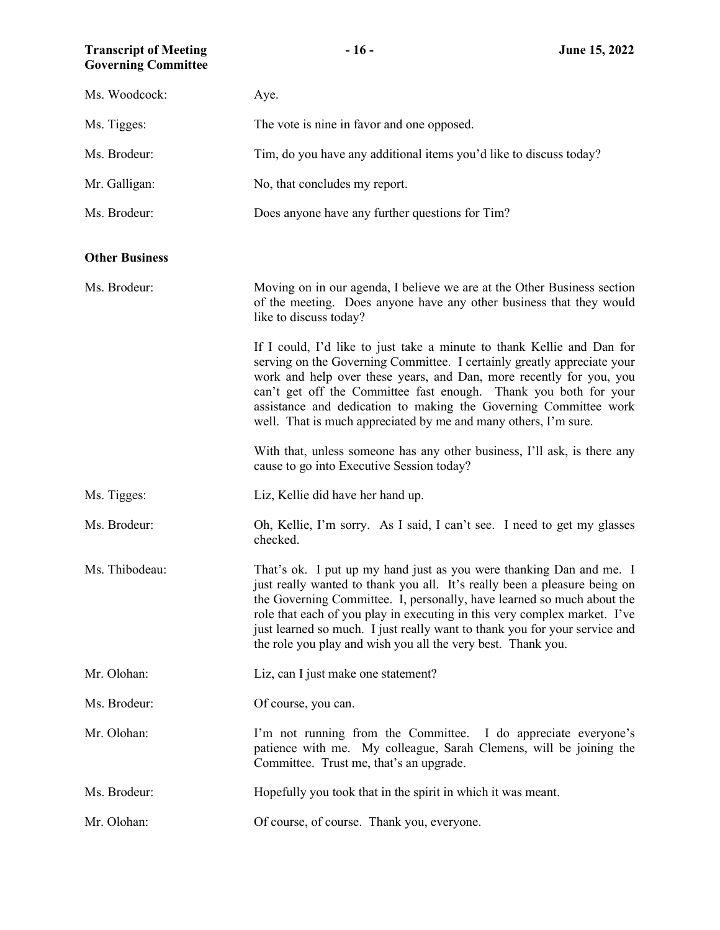**Transcript of Meeting - 16 - June 15, 2022 Governing Committee**

| Ms. Woodcock:         | Aye.                                                                                                                                                                                                                                                                                                                                                                                                                                                  |
|-----------------------|-------------------------------------------------------------------------------------------------------------------------------------------------------------------------------------------------------------------------------------------------------------------------------------------------------------------------------------------------------------------------------------------------------------------------------------------------------|
| Ms. Tigges:           | The vote is nine in favor and one opposed.                                                                                                                                                                                                                                                                                                                                                                                                            |
| Ms. Brodeur:          | Tim, do you have any additional items you'd like to discuss today?                                                                                                                                                                                                                                                                                                                                                                                    |
| Mr. Galligan:         | No, that concludes my report.                                                                                                                                                                                                                                                                                                                                                                                                                         |
| Ms. Brodeur:          | Does anyone have any further questions for Tim?                                                                                                                                                                                                                                                                                                                                                                                                       |
| <b>Other Business</b> |                                                                                                                                                                                                                                                                                                                                                                                                                                                       |
| Ms. Brodeur:          | Moving on in our agenda, I believe we are at the Other Business section<br>of the meeting. Does anyone have any other business that they would<br>like to discuss today?                                                                                                                                                                                                                                                                              |
|                       | If I could, I'd like to just take a minute to thank Kellie and Dan for<br>serving on the Governing Committee. I certainly greatly appreciate your<br>work and help over these years, and Dan, more recently for you, you<br>can't get off the Committee fast enough. Thank you both for your<br>assistance and dedication to making the Governing Committee work<br>well. That is much appreciated by me and many others, I'm sure.                   |
|                       | With that, unless someone has any other business, I'll ask, is there any<br>cause to go into Executive Session today?                                                                                                                                                                                                                                                                                                                                 |
| Ms. Tigges:           | Liz, Kellie did have her hand up.                                                                                                                                                                                                                                                                                                                                                                                                                     |
| Ms. Brodeur:          | Oh, Kellie, I'm sorry. As I said, I can't see. I need to get my glasses<br>checked.                                                                                                                                                                                                                                                                                                                                                                   |
| Ms. Thibodeau:        | That's ok. I put up my hand just as you were thanking Dan and me. I<br>just really wanted to thank you all. It's really been a pleasure being on<br>the Governing Committee. I, personally, have learned so much about the<br>role that each of you play in executing in this very complex market. I've<br>just learned so much. I just really want to thank you for your service and<br>the role you play and wish you all the very best. Thank you. |
| Mr. Olohan:           | Liz, can I just make one statement?                                                                                                                                                                                                                                                                                                                                                                                                                   |
| Ms. Brodeur:          | Of course, you can.                                                                                                                                                                                                                                                                                                                                                                                                                                   |
| Mr. Olohan:           | I'm not running from the Committee. I do appreciate everyone's<br>patience with me. My colleague, Sarah Clemens, will be joining the<br>Committee. Trust me, that's an upgrade.                                                                                                                                                                                                                                                                       |
| Ms. Brodeur:          | Hopefully you took that in the spirit in which it was meant.                                                                                                                                                                                                                                                                                                                                                                                          |
| Mr. Olohan:           | Of course, of course. Thank you, everyone.                                                                                                                                                                                                                                                                                                                                                                                                            |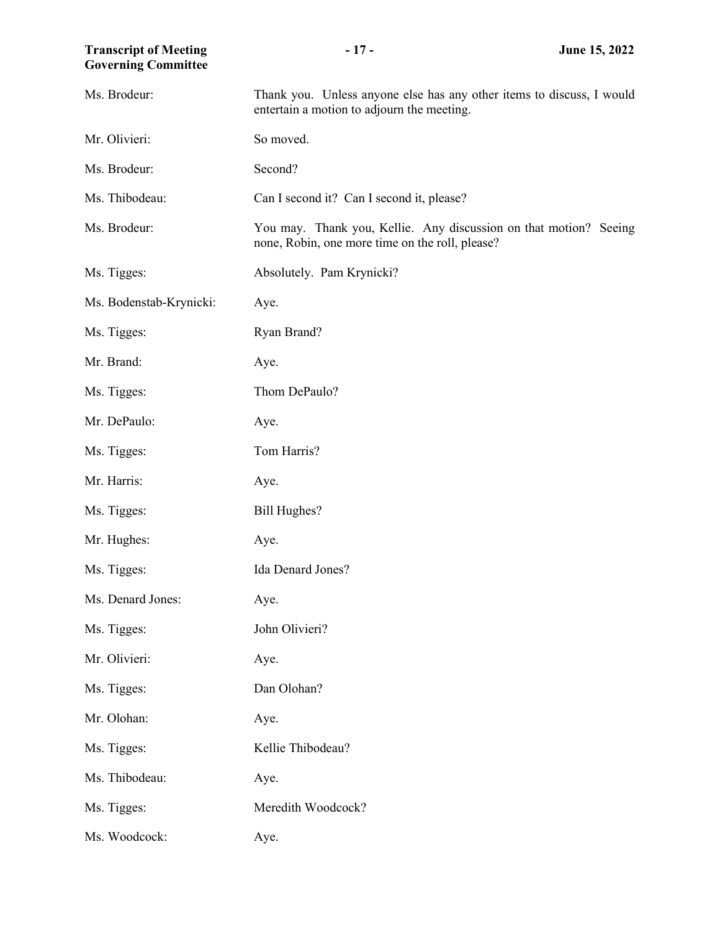| <b>Transcript of Meeting</b><br><b>Governing Committee</b> | $-17-$                                                                                                               | June 15, 2022 |
|------------------------------------------------------------|----------------------------------------------------------------------------------------------------------------------|---------------|
| Ms. Brodeur:                                               | Thank you. Unless anyone else has any other items to discuss, I would<br>entertain a motion to adjourn the meeting.  |               |
| Mr. Olivieri:                                              | So moved.                                                                                                            |               |
| Ms. Brodeur:                                               | Second?                                                                                                              |               |
| Ms. Thibodeau:                                             | Can I second it? Can I second it, please?                                                                            |               |
| Ms. Brodeur:                                               | You may. Thank you, Kellie. Any discussion on that motion? Seeing<br>none, Robin, one more time on the roll, please? |               |
| Ms. Tigges:                                                | Absolutely. Pam Krynicki?                                                                                            |               |
| Ms. Bodenstab-Krynicki:                                    | Aye.                                                                                                                 |               |
| Ms. Tigges:                                                | Ryan Brand?                                                                                                          |               |
| Mr. Brand:                                                 | Aye.                                                                                                                 |               |
| Ms. Tigges:                                                | Thom DePaulo?                                                                                                        |               |
| Mr. DePaulo:                                               | Aye.                                                                                                                 |               |
| Ms. Tigges:                                                | Tom Harris?                                                                                                          |               |
| Mr. Harris:                                                | Aye.                                                                                                                 |               |
| Ms. Tigges:                                                | <b>Bill Hughes?</b>                                                                                                  |               |
| Mr. Hughes:                                                | Aye.                                                                                                                 |               |
| Ms. Tigges:                                                | Ida Denard Jones?                                                                                                    |               |
| Ms. Denard Jones:                                          | Aye.                                                                                                                 |               |
| Ms. Tigges:                                                | John Olivieri?                                                                                                       |               |
| Mr. Olivieri:                                              | Aye.                                                                                                                 |               |
| Ms. Tigges:                                                | Dan Olohan?                                                                                                          |               |
| Mr. Olohan:                                                | Aye.                                                                                                                 |               |
| Ms. Tigges:                                                | Kellie Thibodeau?                                                                                                    |               |
| Ms. Thibodeau:                                             | Aye.                                                                                                                 |               |
| Ms. Tigges:                                                | Meredith Woodcock?                                                                                                   |               |
| Ms. Woodcock:                                              | Aye.                                                                                                                 |               |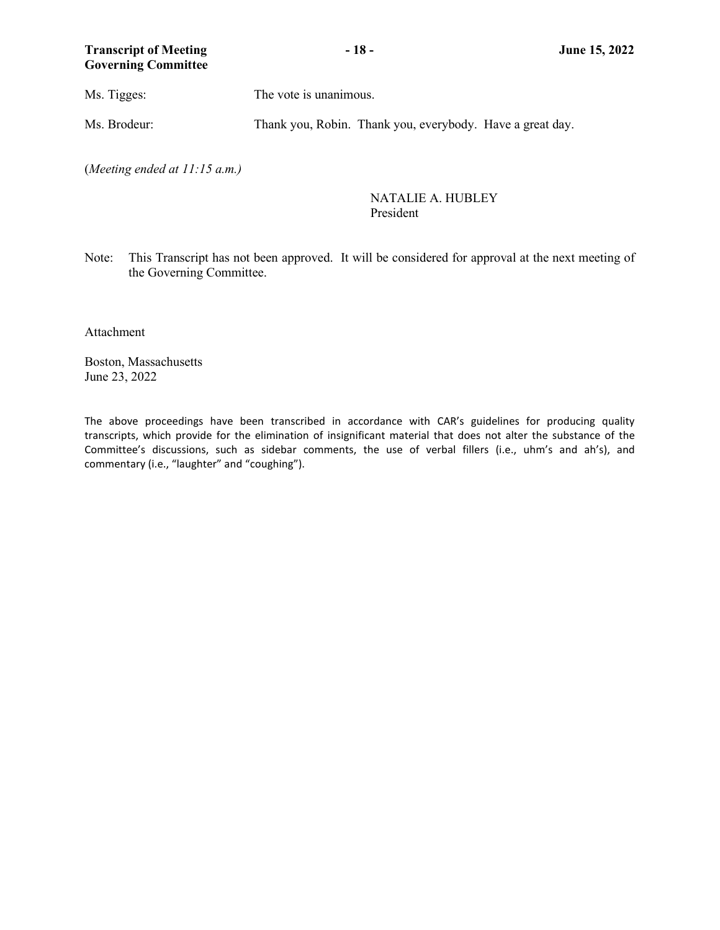| Ms. Tigges:  | The vote is unanimous.                                    |  |
|--------------|-----------------------------------------------------------|--|
| Ms. Brodeur: | Thank you, Robin. Thank you, everybody. Have a great day. |  |

(*Meeting ended at 11:15 a.m.)*

### NATALIE A. HUBLEY President

Note: This Transcript has not been approved. It will be considered for approval at the next meeting of the Governing Committee.

Attachment

Boston, Massachusetts June 23, 2022

The above proceedings have been transcribed in accordance with CAR's guidelines for producing quality transcripts, which provide for the elimination of insignificant material that does not alter the substance of the Committee's discussions, such as sidebar comments, the use of verbal fillers (i.e., uhm's and ah's), and commentary (i.e., "laughter" and "coughing").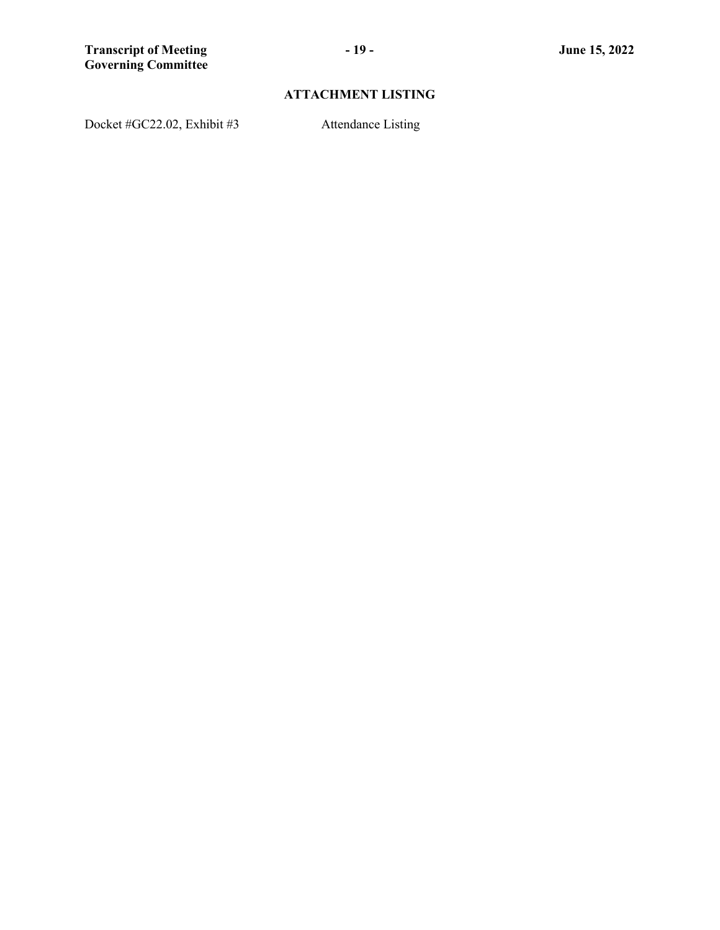# **ATTACHMENT LISTING**

Docket #GC22.02, Exhibit #3 Attendance Listing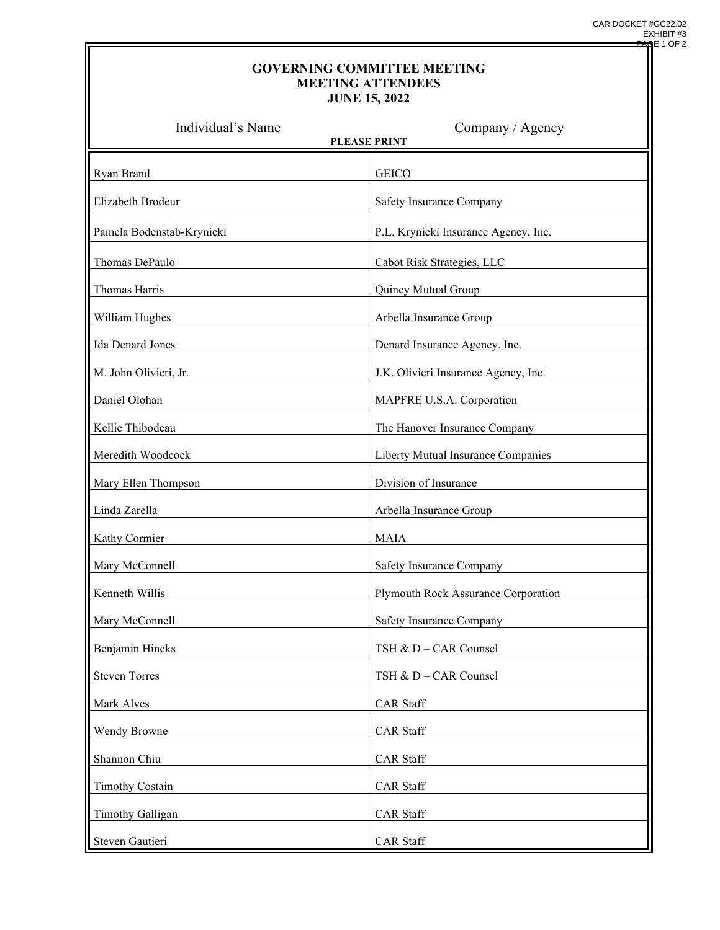### **GOVERNING COMMITTEE MEETING MEETING ATTENDEES JUNE 15, 2022**

| Individual's Name         | Company / Agency<br><b>PLEASE PRINT</b> |
|---------------------------|-----------------------------------------|
| Ryan Brand                | <b>GEICO</b>                            |
| Elizabeth Brodeur         | Safety Insurance Company                |
| Pamela Bodenstab-Krynicki | P.L. Krynicki Insurance Agency, Inc.    |
| Thomas DePaulo            | Cabot Risk Strategies, LLC              |
| Thomas Harris             | Quincy Mutual Group                     |
| William Hughes            | Arbella Insurance Group                 |
| Ida Denard Jones          | Denard Insurance Agency, Inc.           |
| M. John Olivieri, Jr.     | J.K. Olivieri Insurance Agency, Inc.    |
| Daniel Olohan             | MAPFRE U.S.A. Corporation               |
| Kellie Thibodeau          | The Hanover Insurance Company           |
| Meredith Woodcock         | Liberty Mutual Insurance Companies      |
| Mary Ellen Thompson       | Division of Insurance                   |
| Linda Zarella             | Arbella Insurance Group                 |
| Kathy Cormier             | <b>MAIA</b>                             |
| Mary McConnell            | Safety Insurance Company                |
| Kenneth Willis            | Plymouth Rock Assurance Corporation     |
| Mary McConnell            | Safety Insurance Company                |
| Benjamin Hincks           | TSH & D - CAR Counsel                   |
| <b>Steven Torres</b>      | TSH & D - CAR Counsel                   |
| Mark Alves                | <b>CAR Staff</b>                        |
| Wendy Browne              | <b>CAR</b> Staff                        |
| Shannon Chiu              | <b>CAR</b> Staff                        |
| <b>Timothy Costain</b>    | <b>CAR</b> Staff                        |
| <b>Timothy Galligan</b>   | <b>CAR</b> Staff                        |
| Steven Gautieri           | <b>CAR</b> Staff                        |